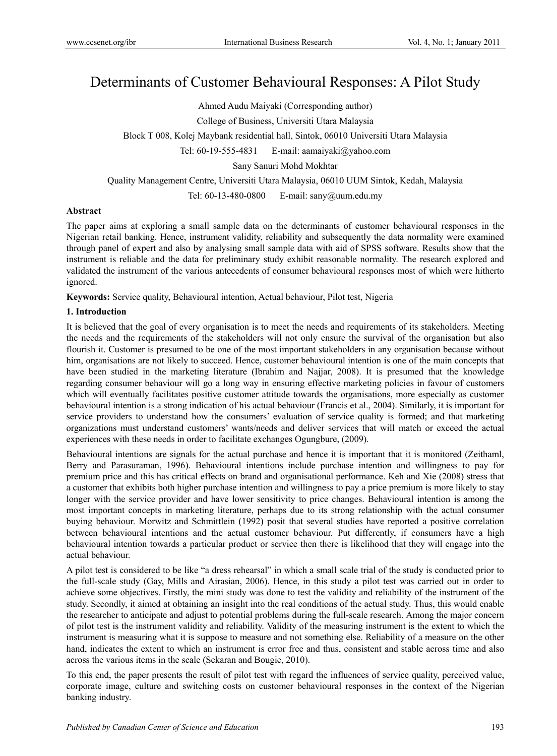# Determinants of Customer Behavioural Responses: A Pilot Study

Ahmed Audu Maiyaki (Corresponding author)

College of Business, Universiti Utara Malaysia

Block T 008, Kolej Maybank residential hall, Sintok, 06010 Universiti Utara Malaysia

Tel: 60-19-555-4831 E-mail: aamaiyaki@yahoo.com

Sany Sanuri Mohd Mokhtar

Quality Management Centre, Universiti Utara Malaysia, 06010 UUM Sintok, Kedah, Malaysia

Tel: 60-13-480-0800 E-mail: sany@uum.edu.my

# **Abstract**

The paper aims at exploring a small sample data on the determinants of customer behavioural responses in the Nigerian retail banking. Hence, instrument validity, reliability and subsequently the data normality were examined through panel of expert and also by analysing small sample data with aid of SPSS software. Results show that the instrument is reliable and the data for preliminary study exhibit reasonable normality. The research explored and validated the instrument of the various antecedents of consumer behavioural responses most of which were hitherto ignored.

**Keywords:** Service quality, Behavioural intention, Actual behaviour, Pilot test, Nigeria

# **1. Introduction**

It is believed that the goal of every organisation is to meet the needs and requirements of its stakeholders. Meeting the needs and the requirements of the stakeholders will not only ensure the survival of the organisation but also flourish it. Customer is presumed to be one of the most important stakeholders in any organisation because without him, organisations are not likely to succeed. Hence, customer behavioural intention is one of the main concepts that have been studied in the marketing literature (Ibrahim and Najjar, 2008). It is presumed that the knowledge regarding consumer behaviour will go a long way in ensuring effective marketing policies in favour of customers which will eventually facilitates positive customer attitude towards the organisations, more especially as customer behavioural intention is a strong indication of his actual behaviour (Francis et al., 2004). Similarly, it is important for service providers to understand how the consumers' evaluation of service quality is formed; and that marketing organizations must understand customers' wants/needs and deliver services that will match or exceed the actual experiences with these needs in order to facilitate exchanges Ogungbure, (2009).

Behavioural intentions are signals for the actual purchase and hence it is important that it is monitored (Zeithaml, Berry and Parasuraman, 1996). Behavioural intentions include purchase intention and willingness to pay for premium price and this has critical effects on brand and organisational performance. Keh and Xie (2008) stress that a customer that exhibits both higher purchase intention and willingness to pay a price premium is more likely to stay longer with the service provider and have lower sensitivity to price changes. Behavioural intention is among the most important concepts in marketing literature, perhaps due to its strong relationship with the actual consumer buying behaviour. Morwitz and Schmittlein (1992) posit that several studies have reported a positive correlation between behavioural intentions and the actual customer behaviour. Put differently, if consumers have a high behavioural intention towards a particular product or service then there is likelihood that they will engage into the actual behaviour.

A pilot test is considered to be like "a dress rehearsal" in which a small scale trial of the study is conducted prior to the full-scale study (Gay, Mills and Airasian, 2006). Hence, in this study a pilot test was carried out in order to achieve some objectives. Firstly, the mini study was done to test the validity and reliability of the instrument of the study. Secondly, it aimed at obtaining an insight into the real conditions of the actual study. Thus, this would enable the researcher to anticipate and adjust to potential problems during the full-scale research. Among the major concern of pilot test is the instrument validity and reliability. Validity of the measuring instrument is the extent to which the instrument is measuring what it is suppose to measure and not something else. Reliability of a measure on the other hand, indicates the extent to which an instrument is error free and thus, consistent and stable across time and also across the various items in the scale (Sekaran and Bougie, 2010).

To this end, the paper presents the result of pilot test with regard the influences of service quality, perceived value, corporate image, culture and switching costs on customer behavioural responses in the context of the Nigerian banking industry.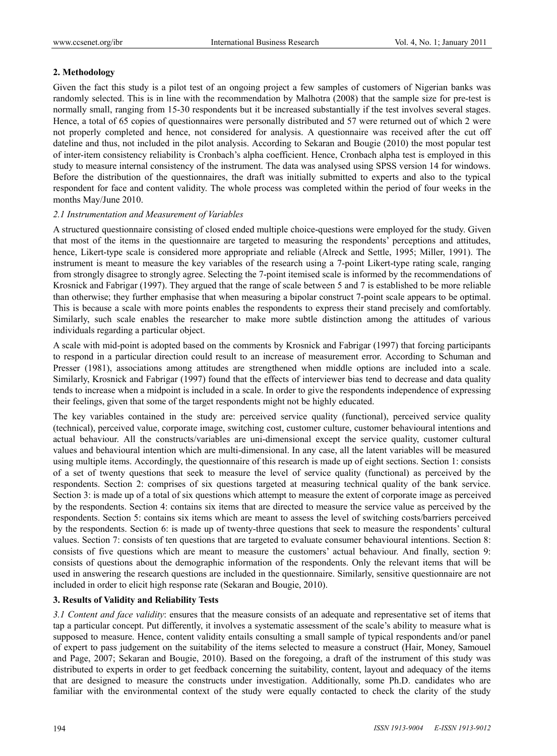# **2. Methodology**

Given the fact this study is a pilot test of an ongoing project a few samples of customers of Nigerian banks was randomly selected. This is in line with the recommendation by Malhotra (2008) that the sample size for pre-test is normally small, ranging from 15-30 respondents but it be increased substantially if the test involves several stages. Hence, a total of 65 copies of questionnaires were personally distributed and 57 were returned out of which 2 were not properly completed and hence, not considered for analysis. A questionnaire was received after the cut off dateline and thus, not included in the pilot analysis. According to Sekaran and Bougie (2010) the most popular test of inter-item consistency reliability is Cronbach's alpha coefficient. Hence, Cronbach alpha test is employed in this study to measure internal consistency of the instrument. The data was analysed using SPSS version 14 for windows. Before the distribution of the questionnaires, the draft was initially submitted to experts and also to the typical respondent for face and content validity. The whole process was completed within the period of four weeks in the months May/June 2010.

#### *2.1 Instrumentation and Measurement of Variables*

A structured questionnaire consisting of closed ended multiple choice-questions were employed for the study. Given that most of the items in the questionnaire are targeted to measuring the respondents' perceptions and attitudes, hence, Likert-type scale is considered more appropriate and reliable (Alreck and Settle, 1995; Miller, 1991). The instrument is meant to measure the key variables of the research using a 7-point Likert-type rating scale, ranging from strongly disagree to strongly agree. Selecting the 7-point itemised scale is informed by the recommendations of Krosnick and Fabrigar (1997). They argued that the range of scale between 5 and 7 is established to be more reliable than otherwise; they further emphasise that when measuring a bipolar construct 7-point scale appears to be optimal. This is because a scale with more points enables the respondents to express their stand precisely and comfortably. Similarly, such scale enables the researcher to make more subtle distinction among the attitudes of various individuals regarding a particular object.

A scale with mid-point is adopted based on the comments by Krosnick and Fabrigar (1997) that forcing participants to respond in a particular direction could result to an increase of measurement error. According to Schuman and Presser (1981), associations among attitudes are strengthened when middle options are included into a scale. Similarly, Krosnick and Fabrigar (1997) found that the effects of interviewer bias tend to decrease and data quality tends to increase when a midpoint is included in a scale. In order to give the respondents independence of expressing their feelings, given that some of the target respondents might not be highly educated.

The key variables contained in the study are: perceived service quality (functional), perceived service quality (technical), perceived value, corporate image, switching cost, customer culture, customer behavioural intentions and actual behaviour. All the constructs/variables are uni-dimensional except the service quality, customer cultural values and behavioural intention which are multi-dimensional. In any case, all the latent variables will be measured using multiple items. Accordingly, the questionnaire of this research is made up of eight sections. Section 1: consists of a set of twenty questions that seek to measure the level of service quality (functional) as perceived by the respondents. Section 2: comprises of six questions targeted at measuring technical quality of the bank service. Section 3: is made up of a total of six questions which attempt to measure the extent of corporate image as perceived by the respondents. Section 4: contains six items that are directed to measure the service value as perceived by the respondents. Section 5: contains six items which are meant to assess the level of switching costs/barriers perceived by the respondents. Section 6: is made up of twenty-three questions that seek to measure the respondents' cultural values. Section 7: consists of ten questions that are targeted to evaluate consumer behavioural intentions. Section 8: consists of five questions which are meant to measure the customers' actual behaviour. And finally, section 9: consists of questions about the demographic information of the respondents. Only the relevant items that will be used in answering the research questions are included in the questionnaire. Similarly, sensitive questionnaire are not included in order to elicit high response rate (Sekaran and Bougie, 2010).

# **3. Results of Validity and Reliability Tests**

*3.1 Content and face validity*: ensures that the measure consists of an adequate and representative set of items that tap a particular concept. Put differently, it involves a systematic assessment of the scale's ability to measure what is supposed to measure. Hence, content validity entails consulting a small sample of typical respondents and/or panel of expert to pass judgement on the suitability of the items selected to measure a construct (Hair, Money, Samouel and Page, 2007; Sekaran and Bougie, 2010). Based on the foregoing, a draft of the instrument of this study was distributed to experts in order to get feedback concerning the suitability, content, layout and adequacy of the items that are designed to measure the constructs under investigation. Additionally, some Ph.D. candidates who are familiar with the environmental context of the study were equally contacted to check the clarity of the study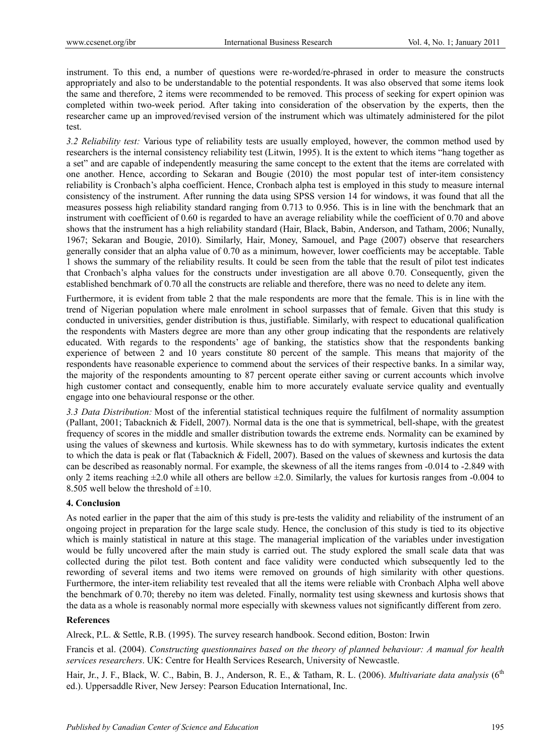instrument. To this end, a number of questions were re-worded/re-phrased in order to measure the constructs appropriately and also to be understandable to the potential respondents. It was also observed that some items look the same and therefore, 2 items were recommended to be removed. This process of seeking for expert opinion was completed within two-week period. After taking into consideration of the observation by the experts, then the researcher came up an improved/revised version of the instrument which was ultimately administered for the pilot test.

*3.2 Reliability test:* Various type of reliability tests are usually employed, however, the common method used by researchers is the internal consistency reliability test (Litwin, 1995). It is the extent to which items "hang together as a set" and are capable of independently measuring the same concept to the extent that the items are correlated with one another. Hence, according to Sekaran and Bougie (2010) the most popular test of inter-item consistency reliability is Cronbach's alpha coefficient. Hence, Cronbach alpha test is employed in this study to measure internal consistency of the instrument. After running the data using SPSS version 14 for windows, it was found that all the measures possess high reliability standard ranging from 0.713 to 0.956. This is in line with the benchmark that an instrument with coefficient of 0.60 is regarded to have an average reliability while the coefficient of 0.70 and above shows that the instrument has a high reliability standard (Hair, Black, Babin, Anderson, and Tatham, 2006; Nunally, 1967; Sekaran and Bougie, 2010). Similarly, Hair, Money, Samouel, and Page (2007) observe that researchers generally consider that an alpha value of 0.70 as a minimum, however, lower coefficients may be acceptable. Table 1 shows the summary of the reliability results. It could be seen from the table that the result of pilot test indicates that Cronbach's alpha values for the constructs under investigation are all above 0.70. Consequently, given the established benchmark of 0.70 all the constructs are reliable and therefore, there was no need to delete any item.

Furthermore, it is evident from table 2 that the male respondents are more that the female. This is in line with the trend of Nigerian population where male enrolment in school surpasses that of female. Given that this study is conducted in universities, gender distribution is thus, justifiable. Similarly, with respect to educational qualification the respondents with Masters degree are more than any other group indicating that the respondents are relatively educated. With regards to the respondents' age of banking, the statistics show that the respondents banking experience of between 2 and 10 years constitute 80 percent of the sample. This means that majority of the respondents have reasonable experience to commend about the services of their respective banks. In a similar way, the majority of the respondents amounting to 87 percent operate either saving or current accounts which involve high customer contact and consequently, enable him to more accurately evaluate service quality and eventually engage into one behavioural response or the other.

*3.3 Data Distribution:* Most of the inferential statistical techniques require the fulfilment of normality assumption (Pallant, 2001; Tabacknich & Fidell, 2007). Normal data is the one that is symmetrical, bell-shape, with the greatest frequency of scores in the middle and smaller distribution towards the extreme ends. Normality can be examined by using the values of skewness and kurtosis. While skewness has to do with symmetary, kurtosis indicates the extent to which the data is peak or flat (Tabacknich & Fidell, 2007). Based on the values of skewness and kurtosis the data can be described as reasonably normal. For example, the skewness of all the items ranges from -0.014 to -2.849 with only 2 items reaching  $\pm 2.0$  while all others are bellow  $\pm 2.0$ . Similarly, the values for kurtosis ranges from -0.004 to 8.505 well below the threshold of  $\pm 10$ .

#### **4. Conclusion**

As noted earlier in the paper that the aim of this study is pre-tests the validity and reliability of the instrument of an ongoing project in preparation for the large scale study. Hence, the conclusion of this study is tied to its objective which is mainly statistical in nature at this stage. The managerial implication of the variables under investigation would be fully uncovered after the main study is carried out. The study explored the small scale data that was collected during the pilot test. Both content and face validity were conducted which subsequently led to the rewording of several items and two items were removed on grounds of high similarity with other questions. Furthermore, the inter-item reliability test revealed that all the items were reliable with Cronbach Alpha well above the benchmark of 0.70; thereby no item was deleted. Finally, normality test using skewness and kurtosis shows that the data as a whole is reasonably normal more especially with skewness values not significantly different from zero.

#### **References**

Alreck, P.L. & Settle, R.B. (1995). The survey research handbook. Second edition, Boston: Irwin

Francis et al. (2004). *Constructing questionnaires based on the theory of planned behaviour: A manual for health services researchers*. UK: Centre for Health Services Research, University of Newcastle.

Hair, Jr., J. F., Black, W. C., Babin, B. J., Anderson, R. E., & Tatham, R. L. (2006). *Multivariate data analysis* (6<sup>th</sup> ed.). Uppersaddle River, New Jersey: Pearson Education International, Inc.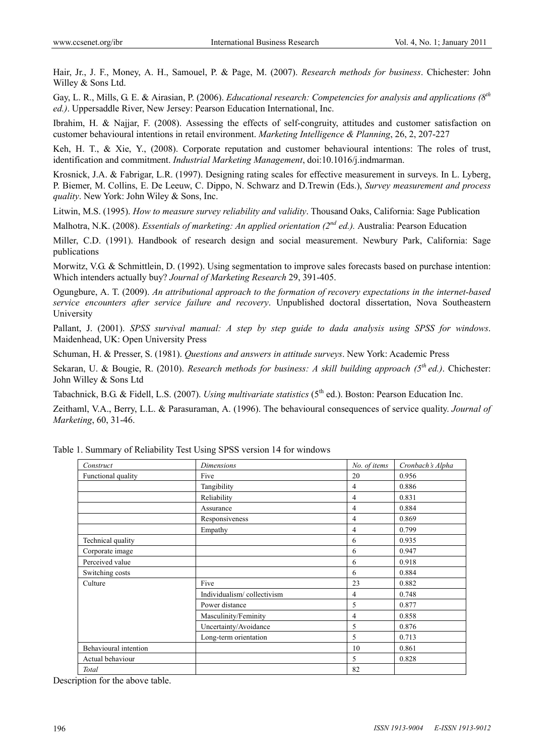Hair, Jr., J. F., Money, A. H., Samouel, P. & Page, M. (2007). *Research methods for business*. Chichester: John Willey & Sons Ltd.

Gay, L. R., Mills, G. E. & Airasian, P. (2006). *Educational research: Competencies for analysis and applications (8th ed.)*. Uppersaddle River, New Jersey: Pearson Education International, Inc.

Ibrahim, H. & Najjar, F. (2008). Assessing the effects of self-congruity, attitudes and customer satisfaction on customer behavioural intentions in retail environment. *Marketing Intelligence & Planning*, 26, 2, 207-227

Keh, H. T., & Xie, Y., (2008). Corporate reputation and customer behavioural intentions: The roles of trust, identification and commitment. *Industrial Marketing Management*, doi:10.1016/j.indmarman.

Krosnick, J.A. & Fabrigar, L.R. (1997). Designing rating scales for effective measurement in surveys. In L. Lyberg, P. Biemer, M. Collins, E. De Leeuw, C. Dippo, N. Schwarz and D.Trewin (Eds.), *Survey measurement and process quality*. New York: John Wiley & Sons, Inc.

Litwin, M.S. (1995). *How to measure survey reliability and validity*. Thousand Oaks, California: Sage Publication

Malhotra, N.K. (2008). *Essentials of marketing: An applied orientation (2nd ed.).* Australia: Pearson Education

Miller, C.D. (1991). Handbook of research design and social measurement. Newbury Park, California: Sage publications

Morwitz, V.G. & Schmittlein, D. (1992). Using segmentation to improve sales forecasts based on purchase intention: Which intenders actually buy? *Journal of Marketing Research* 29, 391-405.

Ogungbure, A. T. (2009). *An attributional approach to the formation of recovery expectations in the internet-based service encounters after service failure and recovery*. Unpublished doctoral dissertation, Nova Southeastern University

Pallant, J. (2001). *SPSS survival manual: A step by step guide to dada analysis using SPSS for windows*. Maidenhead, UK: Open University Press

Schuman, H. & Presser, S. (1981). *Questions and answers in attitude surveys*. New York: Academic Press

Sekaran, U. & Bougie, R. (2010). *Research methods for business: A skill building approach (5th ed.)*. Chichester: John Willey & Sons Ltd

Tabachnick, B.G. & Fidell, L.S. (2007). *Using multivariate statistics* (5<sup>th</sup> ed.). Boston: Pearson Education Inc.

Zeithaml, V.A., Berry, L.L. & Parasuraman, A. (1996). The behavioural consequences of service quality. *Journal of Marketing*, 60, 31-46.

| Construct             | <b>Dimensions</b>          | No. of items   | Cronbach's Alpha |
|-----------------------|----------------------------|----------------|------------------|
| Functional quality    | Five                       | 20             | 0.956            |
|                       | Tangibility                | 4              | 0.886            |
|                       | Reliability                | $\overline{4}$ | 0.831            |
|                       | Assurance                  | 4              | 0.884            |
|                       | Responsiveness             | 4              | 0.869            |
|                       | Empathy                    | 4              | 0.799            |
| Technical quality     |                            | 6              | 0.935            |
| Corporate image       |                            | 6              | 0.947            |
| Perceived value       |                            | 6              | 0.918            |
| Switching costs       |                            | 6              | 0.884            |
| Culture               | Five                       | 23             | 0.882            |
|                       | Individualism/collectivism | $\overline{4}$ | 0.748            |
|                       | Power distance             | 5              | 0.877            |
|                       | Masculinity/Feminity       | 4              | 0.858            |
|                       | Uncertainty/Avoidance      | 5              | 0.876            |
|                       | Long-term orientation      | 5              | 0.713            |
| Behavioural intention |                            | 10             | 0.861            |
| Actual behaviour      |                            | 5              | 0.828            |
| Total                 |                            | 82             |                  |

Table 1. Summary of Reliability Test Using SPSS version 14 for windows

Description for the above table.